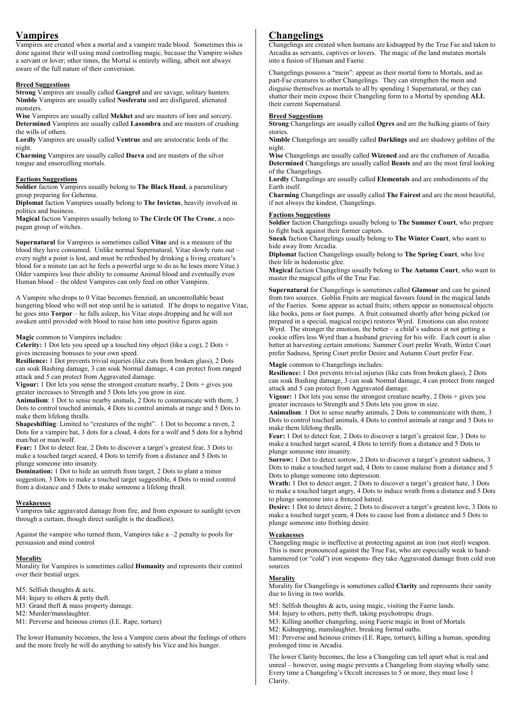# Vampires

Vampires are created when a mortal and a vampire trade blood. Sometimes this is done against their will using mind controlling magic, because the Vampire wishes a servant or lover; other times, the Mortal is entirely willing, albeit not always aware of the full nature of their conversion.

## Breed Suggestions

**Strong Vampires are usually called Gangrel and are savage, solitary hunters.** Nimble Vampires are usually called Nosferatu and are disfigured, alienated monsters.

Wise Vampires are usually called Mekhet and are masters of lore and sorcery. Determined Vampires are usually called Lasombra and are masters of crushing the wills of others.

Lordly Vampires are usually called Ventrue and are aristocratic lords of the night.

Charming Vampires are usually called Daeva and are masters of the silver tongue and ensorcelling mortals.

### Factions Suggestions

Soldier faction Vampires usually belong to The Black Hand, a paramilitary group preparing for Gehenna.

Diplomat faction Vampires usually belong to The Invictus, heavily involved in politics and business.

Magical faction Vampires usually belong to The Circle Of The Crone, a neopagan group of witches.

Supernatural for Vampires is sometimes called Vitae and is a measure of the blood they have consumed. Unlike normal Supernatural, Vitae slowly runs out – every night a point is lost, and must be refreshed by drinking a living creature's blood for a minute (an act he feels a powerful urge to do as he loses more Vitae.) Older vampires lose their ability to consume Animal blood and eventually even Human blood – the oldest Vampires can only feed on other Vampires.

A Vampire who drops to 0 Vitae becomes frenzied, an uncontrollable beast hungering blood who will not stop until he is satiated. If he drops to negative Vitae, he goes into Torpor – he falls asleep, his Vitae stops dropping and he will not awaken until provided with blood to raise him into positive figures again.

## Magic common to Vampires includes:

**Celerity:** 1 Dot lets you speed up a touched tiny object (like a cog), 2 Dots + gives increasing bonuses to your own speed.

Resilience: 1 Dot prevents trivial injuries (like cuts from broken glass), 2 Dots can soak Bashing damage, 3 can soak Normal damage, 4 can protect from ranged attack and 5 can protect from Aggravated damage.

Vigour: 1 Dot lets you sense the strongest creature nearby, 2 Dots + gives you greater increases to Strength and 5 Dots lets you grow in size.

Animalism: 1 Dot to sense nearby animals, 2 Dots to communicate with them, 3 Dots to control touched animals, 4 Dots to control animals at range and 5 Dots to make them lifelong thralls.

Shapeshifting: Limited to "creatures of the night". 1 Dot to become a raven, 2 Dots for a vampire bat, 3 dots for a cloud, 4 dots for a wolf and 5 dots for a hybrid man/bat or man/wolf.

Fear: 1 Dot to detect fear, 2 Dots to discover a target's greatest fear, 3 Dots to make a touched target scared, 4 Dots to terrify from a distance and 5 Dots to plunge someone into insanity.

Domination: 1 Dot to hide an untruth from target, 2 Dots to plant a minor suggestion, 3 Dots to make a touched target suggestible, 4 Dots to mind control from a distance and 5 Dots to make someone a lifelong thrall.

## Weaknesses

Vampires take aggravated damage from fire, and from exposure to sunlight (even through a curtain, though direct sunlight is the deadliest).

Against the vampire who turned them, Vampires take a –2 penalty to pools for persuasion and mind control

#### **Morality**

Morality for Vampires is sometimes called Humanity and represents their control over their bestial urges.

M5: Selfish thoughts & acts.

M4: Injury to others & petty theft.

M3: Grand theft & mass property damage.

M2: Murder/manslaughter.

M1: Perverse and heinous crimes (I.E. Rape, torture)

The lower Humanity becomes, the less a Vampire cares about the feelings of others and the more freely he will do anything to satisfy his Vice and his hunger.

## Changelings

Changelings are created when humans are kidnapped by the True Fae and taken to Arcadia as servants, captives or lovers. The magic of the land mutates mortals into a fusion of Human and Faerie.

Changelings possess a "mein": appear as their mortal form to Mortals, and as part-Fae creatures to other Changelings. They can strengthen the mein and disguise themselves as mortals to all by spending 1 Supernatural, or they can shatter their mein expose their Changeling form to a Mortal by spending ALL their current Supernatural.

## Breed Suggestions

Strong Changelings are usually called Ogres and are the hulking giants of fairy stories.

Nimble Changelings are usually called Darklings and are shadowy goblins of the night.

Wise Changelings are usually called Wizened and are the craftsmen of Arcadia. Determined Changelings are usually called Beasts and are the most feral looking of the Changelings.

Lordly Changelings are usually called Elementals and are embodiments of the Earth itself.

Charming Changelings are usually called The Fairest and are the most beautiful, if not always the kindest, Changelings.

## Factions Suggestions

Soldier faction Changelings usually belong to The Summer Court, who prepare to fight back against their former captors.

Sneak faction Changelings usually belong to The Winter Court, who want to hide away from Arcadia.

Diplomat faction Changelings usually belong to The Spring Court, who live their life in hedonistic glee.

Magical faction Changelings usually belong to The Autumn Court, who want to master the magical gifts of the True Fae.

Supernatural for Changelings is sometimes called Glamour and can be gained from two sources. Goblin Fruits are magical favours found in the magical lands of the Faeries. Some appear as actual fruits; others appear as nonsensical objects like books, pens or foot pumps. A fruit consumed shortly after being picked (or prepared in a special, magical recipe) restores Wyrd. Emotions can also restore Wyrd. The stronger the emotion, the better – a child's sadness at not getting a cookie offers less Wyrd than a husband grieving for his wife. Each court is also better at harvesting certain emotions: Summer Court prefer Wrath, Winter Court prefer Sadness, Spring Court prefer Desire and Autumn Court prefer Fear.

## Magic common to Changelings includes:

Resilience: 1 Dot prevents trivial injuries (like cuts from broken glass), 2 Dots can soak Bashing damage, 3 can soak Normal damage, 4 can protect from ranged attack and 5 can protect from Aggravated damage.

Vigour: 1 Dot lets you sense the strongest creature nearby, 2 Dots + gives you greater increases to Strength and 5 Dots lets you grow in size.

Animalism: 1 Dot to sense nearby animals, 2 Dots to communicate with them, 3 Dots to control touched animals, 4 Dots to control animals at range and 5 Dots to make them lifelong thralls.

Fear: 1 Dot to detect fear, 2 Dots to discover a target's greatest fear, 3 Dots to make a touched target scared, 4 Dots to terrify from a distance and 5 Dots to plunge someone into insanity.

Sorrow: 1 Dot to detect sorrow, 2 Dots to discover a target's greatest sadness, 3 Dots to make a touched target sad, 4 Dots to cause malaise from a distance and 5 Dots to plunge someone into depression.

Wrath: 1 Dot to detect anger, 2 Dots to discover a target's greatest hate, 3 Dots to make a touched target angry, 4 Dots to induce wrath from a distance and 5 Dots to plunge someone into a frenzied hatred.

Desire: 1 Dot to detect desire, 2 Dots to discover a target's greatest love, 3 Dots to make a touched target yearn, 4 Dots to cause lust from a distance and 5 Dots to plunge someone into frothing desire.

#### Weaknesses

Changeling magic is ineffective at protecting against an iron (not steel) weapon. This is more pronounced against the True Fae, who are especially weak to handhammered (or "cold") iron weapons- they take Aggravated damage from cold iron sources

## **Morality**

Morality for Changelings is sometimes called Clarity and represents their sanity due to living in two worlds.

M5: Selfish thoughts & acts, using magic, visiting the Faerie lands.

M4: Injury to others, petty theft, taking psychotropic drugs.

M3: Killing another changeling, using Faerie magic in front of Mortals

M2: Kidnapping, manslaughter, breaking formal oaths.

M1: Perverse and heinous crimes (I.E. Rape, torture), killing a human, spending prolonged time in Arcadia.

The lower Clarity becomes, the less a Changeling can tell apart what is real and unreal – however, using magic prevents a Changeling from staying wholly sane. Every time a Changeling's Occult increases to 5 or more, they must lose 1 Clarity.